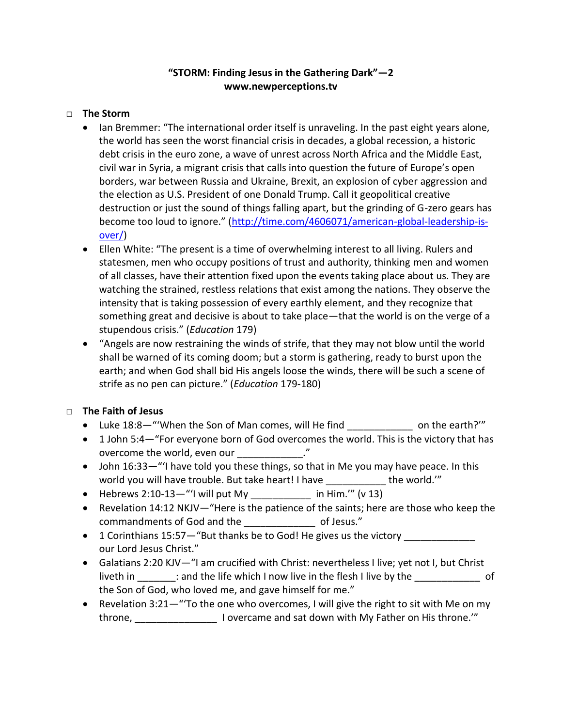## **"STORM: Finding Jesus in the Gathering Dark"—2 www.newperceptions.tv**

## □ **The Storm**

- Ian Bremmer: "The international order itself is unraveling. In the past eight years alone, the world has seen the worst financial crisis in decades, a global recession, a historic debt crisis in the euro zone, a wave of unrest across North Africa and the Middle East, civil war in Syria, a migrant crisis that calls into question the future of Europe's open borders, war between Russia and Ukraine, Brexit, an explosion of cyber aggression and the election as U.S. President of one Donald Trump. Call it geopolitical creative destruction or just the sound of things falling apart, but the grinding of G-zero gears has become too loud to ignore." ([http://time.com/4606071/american-global-leadership-is](http://time.com/4606071/american-global-leadership-is-over/)[over/\)](http://time.com/4606071/american-global-leadership-is-over/)
- Ellen White: "The present is a time of overwhelming interest to all living. Rulers and statesmen, men who occupy positions of trust and authority, thinking men and women of all classes, have their attention fixed upon the events taking place about us. They are watching the strained, restless relations that exist among the nations. They observe the intensity that is taking possession of every earthly element, and they recognize that something great and decisive is about to take place—that the world is on the verge of a stupendous crisis." (*Education* 179)
- "Angels are now restraining the winds of strife, that they may not blow until the world shall be warned of its coming doom; but a storm is gathering, ready to burst upon the earth; and when God shall bid His angels loose the winds, there will be such a scene of strife as no pen can picture." (*Education* 179-180)

## □ **The Faith of Jesus**

- Luke 18:8-"'When the Son of Man comes, will He find \_\_\_\_\_\_\_\_ on the earth?'"
- 1 John 5:4-"For everyone born of God overcomes the world. This is the victory that has overcome the world, even our  $\cdot$ "
- John 16:33—"'I have told you these things, so that in Me you may have peace. In this world you will have trouble. But take heart! I have the world.'"
- Hebrews 2:10-13—"'I will put My \_\_\_\_\_\_\_\_\_\_\_\_\_\_ in Him.'" (v 13)
- Revelation 14:12 NKJV—"Here is the patience of the saints; here are those who keep the commandments of God and the \_\_\_\_\_\_\_\_\_\_\_\_\_ of Jesus."
- 1 Corinthians 15:57—"But thanks be to God! He gives us the victory our Lord Jesus Christ."
- Galatians 2:20 KJV—"I am crucified with Christ: nevertheless I live; yet not I, but Christ liveth in \_\_\_\_\_\_\_\_: and the life which I now live in the flesh I live by the \_\_\_\_\_\_\_\_\_\_\_\_\_\_\_ of the Son of God, who loved me, and gave himself for me."
- **•** Revelation 3:21—"To the one who overcomes, I will give the right to sit with Me on my throne, throne, throne.'" I overcame and sat down with My Father on His throne.'"